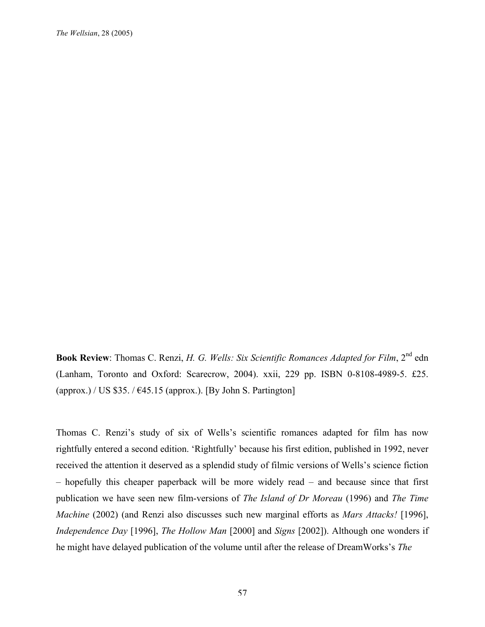*The Wellsian*, 28 (2005)

**Book Review**: Thomas C. Renzi, *H. G. Wells: Six Scientific Romances Adapted for Film*, 2nd edn (Lanham, Toronto and Oxford: Scarecrow, 2004). xxii, 229 pp. ISBN 0-8108-4989-5. £25. (approx.) / US \$35. /  $\epsilon$ 45.15 (approx.). [By John S. Partington]

Thomas C. Renzi's study of six of Wells's scientific romances adapted for film has now rightfully entered a second edition. 'Rightfully' because his first edition, published in 1992, never received the attention it deserved as a splendid study of filmic versions of Wells's science fiction – hopefully this cheaper paperback will be more widely read – and because since that first publication we have seen new film-versions of *The Island of Dr Moreau* (1996) and *The Time Machine* (2002) (and Renzi also discusses such new marginal efforts as *Mars Attacks!* [1996], *Independence Day* [1996], *The Hollow Man* [2000] and *Signs* [2002]). Although one wonders if he might have delayed publication of the volume until after the release of DreamWorks's *The*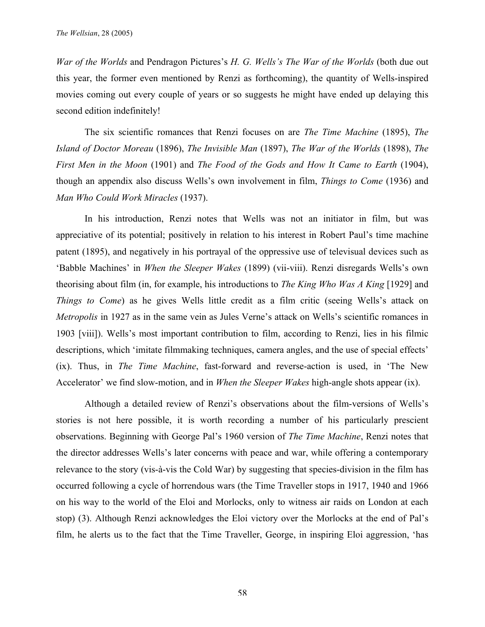*War of the Worlds* and Pendragon Pictures's *H. G. Wells's The War of the Worlds* (both due out this year, the former even mentioned by Renzi as forthcoming), the quantity of Wells-inspired movies coming out every couple of years or so suggests he might have ended up delaying this second edition indefinitely!

The six scientific romances that Renzi focuses on are *The Time Machine* (1895), *The Island of Doctor Moreau* (1896), *The Invisible Man* (1897), *The War of the Worlds* (1898), *The First Men in the Moon* (1901) and *The Food of the Gods and How It Came to Earth* (1904), though an appendix also discuss Wells's own involvement in film, *Things to Come* (1936) and *Man Who Could Work Miracles* (1937).

In his introduction, Renzi notes that Wells was not an initiator in film, but was appreciative of its potential; positively in relation to his interest in Robert Paul's time machine patent (1895), and negatively in his portrayal of the oppressive use of televisual devices such as 'Babble Machines' in *When the Sleeper Wakes* (1899) (vii-viii). Renzi disregards Wells's own theorising about film (in, for example, his introductions to *The King Who Was A King* [1929] and *Things to Come*) as he gives Wells little credit as a film critic (seeing Wells's attack on *Metropolis* in 1927 as in the same vein as Jules Verne's attack on Wells's scientific romances in 1903 [viii]). Wells's most important contribution to film, according to Renzi, lies in his filmic descriptions, which 'imitate filmmaking techniques, camera angles, and the use of special effects' (ix). Thus, in *The Time Machine*, fast-forward and reverse-action is used, in 'The New Accelerator' we find slow-motion, and in *When the Sleeper Wakes* high-angle shots appear (ix).

Although a detailed review of Renzi's observations about the film-versions of Wells's stories is not here possible, it is worth recording a number of his particularly prescient observations. Beginning with George Pal's 1960 version of *The Time Machine*, Renzi notes that the director addresses Wells's later concerns with peace and war, while offering a contemporary relevance to the story (vis-à-vis the Cold War) by suggesting that species-division in the film has occurred following a cycle of horrendous wars (the Time Traveller stops in 1917, 1940 and 1966 on his way to the world of the Eloi and Morlocks, only to witness air raids on London at each stop) (3). Although Renzi acknowledges the Eloi victory over the Morlocks at the end of Pal's film, he alerts us to the fact that the Time Traveller, George, in inspiring Eloi aggression, 'has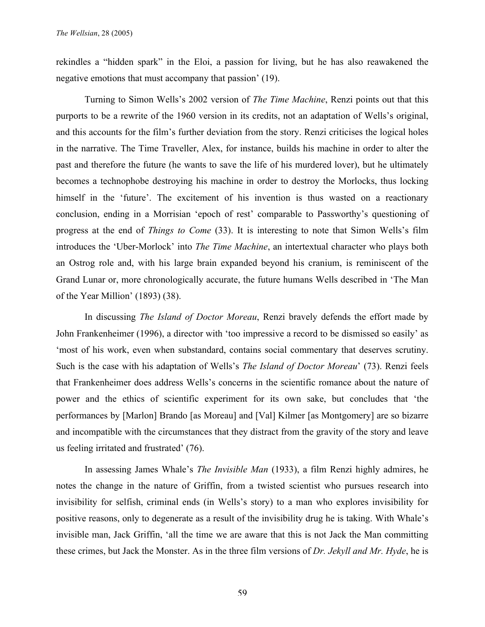rekindles a "hidden spark" in the Eloi, a passion for living, but he has also reawakened the negative emotions that must accompany that passion' (19).

Turning to Simon Wells's 2002 version of *The Time Machine*, Renzi points out that this purports to be a rewrite of the 1960 version in its credits, not an adaptation of Wells's original, and this accounts for the film's further deviation from the story. Renzi criticises the logical holes in the narrative. The Time Traveller, Alex, for instance, builds his machine in order to alter the past and therefore the future (he wants to save the life of his murdered lover), but he ultimately becomes a technophobe destroying his machine in order to destroy the Morlocks, thus locking himself in the 'future'. The excitement of his invention is thus wasted on a reactionary conclusion, ending in a Morrisian 'epoch of rest' comparable to Passworthy's questioning of progress at the end of *Things to Come* (33). It is interesting to note that Simon Wells's film introduces the 'Uber-Morlock' into *The Time Machine*, an intertextual character who plays both an Ostrog role and, with his large brain expanded beyond his cranium, is reminiscent of the Grand Lunar or, more chronologically accurate, the future humans Wells described in 'The Man of the Year Million' (1893) (38).

In discussing *The Island of Doctor Moreau*, Renzi bravely defends the effort made by John Frankenheimer (1996), a director with 'too impressive a record to be dismissed so easily' as 'most of his work, even when substandard, contains social commentary that deserves scrutiny. Such is the case with his adaptation of Wells's *The Island of Doctor Moreau*' (73). Renzi feels that Frankenheimer does address Wells's concerns in the scientific romance about the nature of power and the ethics of scientific experiment for its own sake, but concludes that 'the performances by [Marlon] Brando [as Moreau] and [Val] Kilmer [as Montgomery] are so bizarre and incompatible with the circumstances that they distract from the gravity of the story and leave us feeling irritated and frustrated' (76).

In assessing James Whale's *The Invisible Man* (1933), a film Renzi highly admires, he notes the change in the nature of Griffin, from a twisted scientist who pursues research into invisibility for selfish, criminal ends (in Wells's story) to a man who explores invisibility for positive reasons, only to degenerate as a result of the invisibility drug he is taking. With Whale's invisible man, Jack Griffin, 'all the time we are aware that this is not Jack the Man committing these crimes, but Jack the Monster. As in the three film versions of *Dr. Jekyll and Mr. Hyde*, he is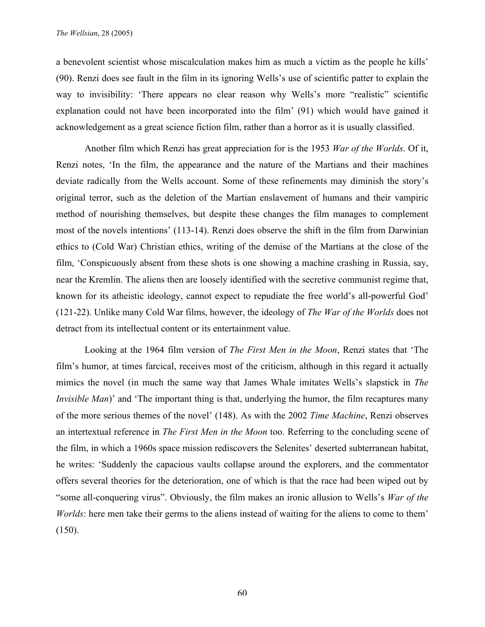a benevolent scientist whose miscalculation makes him as much a victim as the people he kills' (90). Renzi does see fault in the film in its ignoring Wells's use of scientific patter to explain the way to invisibility: 'There appears no clear reason why Wells's more "realistic" scientific explanation could not have been incorporated into the film' (91) which would have gained it acknowledgement as a great science fiction film, rather than a horror as it is usually classified.

Another film which Renzi has great appreciation for is the 1953 *War of the Worlds*. Of it, Renzi notes, 'In the film, the appearance and the nature of the Martians and their machines deviate radically from the Wells account. Some of these refinements may diminish the story's original terror, such as the deletion of the Martian enslavement of humans and their vampiric method of nourishing themselves, but despite these changes the film manages to complement most of the novels intentions' (113-14). Renzi does observe the shift in the film from Darwinian ethics to (Cold War) Christian ethics, writing of the demise of the Martians at the close of the film, 'Conspicuously absent from these shots is one showing a machine crashing in Russia, say, near the Kremlin. The aliens then are loosely identified with the secretive communist regime that, known for its atheistic ideology, cannot expect to repudiate the free world's all-powerful God' (121-22). Unlike many Cold War films, however, the ideology of *The War of the Worlds* does not detract from its intellectual content or its entertainment value.

Looking at the 1964 film version of *The First Men in the Moon*, Renzi states that 'The film's humor, at times farcical, receives most of the criticism, although in this regard it actually mimics the novel (in much the same way that James Whale imitates Wells's slapstick in *The Invisible Man*)' and 'The important thing is that, underlying the humor, the film recaptures many of the more serious themes of the novel' (148). As with the 2002 *Time Machine*, Renzi observes an intertextual reference in *The First Men in the Moon* too. Referring to the concluding scene of the film, in which a 1960s space mission rediscovers the Selenites' deserted subterranean habitat, he writes: 'Suddenly the capacious vaults collapse around the explorers, and the commentator offers several theories for the deterioration, one of which is that the race had been wiped out by "some all-conquering virus". Obviously, the film makes an ironic allusion to Wells's *War of the Worlds*: here men take their germs to the aliens instead of waiting for the aliens to come to them' (150).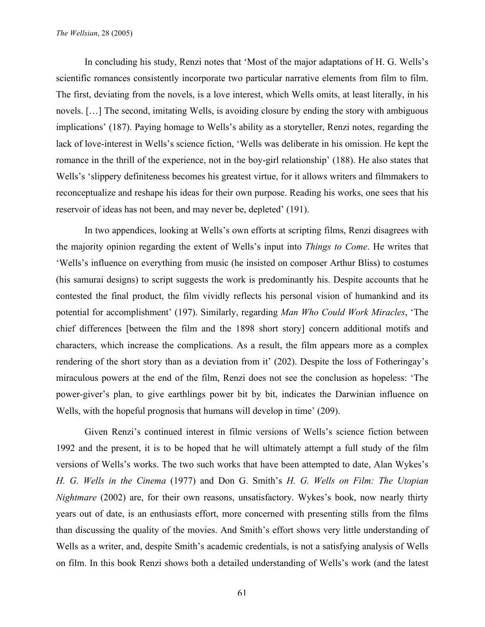In concluding his study, Renzi notes that 'Most of the major adaptations of H. G. Wells's scientific romances consistently incorporate two particular narrative elements from film to film. The first, deviating from the novels, is a love interest, which Wells omits, at least literally, in his novels. […] The second, imitating Wells, is avoiding closure by ending the story with ambiguous implications' (187). Paying homage to Wells's ability as a storyteller, Renzi notes, regarding the lack of love-interest in Wells's science fiction, 'Wells was deliberate in his omission. He kept the romance in the thrill of the experience, not in the boy-girl relationship' (188). He also states that Wells's 'slippery definiteness becomes his greatest virtue, for it allows writers and filmmakers to reconceptualize and reshape his ideas for their own purpose. Reading his works, one sees that his reservoir of ideas has not been, and may never be, depleted' (191).

In two appendices, looking at Wells's own efforts at scripting films, Renzi disagrees with the majority opinion regarding the extent of Wells's input into *Things to Come*. He writes that 'Wells's influence on everything from music (he insisted on composer Arthur Bliss) to costumes (his samurai designs) to script suggests the work is predominantly his. Despite accounts that he contested the final product, the film vividly reflects his personal vision of humankind and its potential for accomplishment' (197). Similarly, regarding *Man Who Could Work Miracles*, 'The chief differences [between the film and the 1898 short story] concern additional motifs and characters, which increase the complications. As a result, the film appears more as a complex rendering of the short story than as a deviation from it' (202). Despite the loss of Fotheringay's miraculous powers at the end of the film, Renzi does not see the conclusion as hopeless: 'The power-giver's plan, to give earthlings power bit by bit, indicates the Darwinian influence on Wells, with the hopeful prognosis that humans will develop in time' (209).

Given Renzi's continued interest in filmic versions of Wells's science fiction between 1992 and the present, it is to be hoped that he will ultimately attempt a full study of the film versions of Wells's works. The two such works that have been attempted to date, Alan Wykes's *H. G. Wells in the Cinema* (1977) and Don G. Smith's *H. G. Wells on Film: The Utopian Nightmare* (2002) are, for their own reasons, unsatisfactory. Wykes's book, now nearly thirty years out of date, is an enthusiasts effort, more concerned with presenting stills from the films than discussing the quality of the movies. And Smith's effort shows very little understanding of Wells as a writer, and, despite Smith's academic credentials, is not a satisfying analysis of Wells on film. In this book Renzi shows both a detailed understanding of Wells's work (and the latest